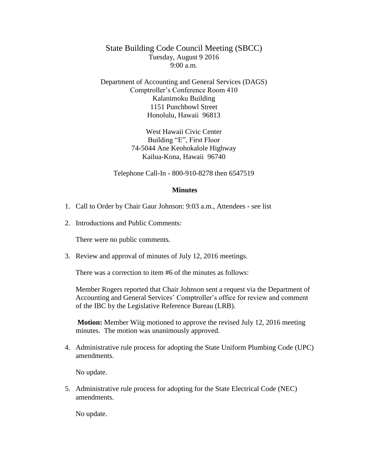State Building Code Council Meeting (SBCC) Tuesday, August 9 2016  $9:00 a.m.$ 

Department of Accounting and General Services (DAGS) Comptroller's Conference Room 410 Kalanimoku Building 1151 Punchbowl Street Honolulu, Hawaii 96813

> West Hawaii Civic Center Building "E", First Floor 74-5044 Ane Keohokalole Highway Kailua-Kona, Hawaii 96740

Telephone Call-In - 800-910-8278 then 6547519

## **Minutes**

- 1. Call to Order by Chair Gaur Johnson: 9:03 a.m., Attendees see list
- 2. Introductions and Public Comments:

There were no public comments.

3. Review and approval of minutes of July 12, 2016 meetings.

There was a correction to item #6 of the minutes as follows:

Member Rogers reported that Chair Johnson sent a request via the Department of Accounting and General Services' Comptroller's office for review and comment of the IBC by the Legislative Reference Bureau (LRB).

**Motion:** Member Wiig motioned to approve the revised July 12, 2016 meeting minutes. The motion was unanimously approved.

4. Administrative rule process for adopting the State Uniform Plumbing Code (UPC) amendments.

No update.

5. Administrative rule process for adopting for the State Electrical Code (NEC) amendments.

No update.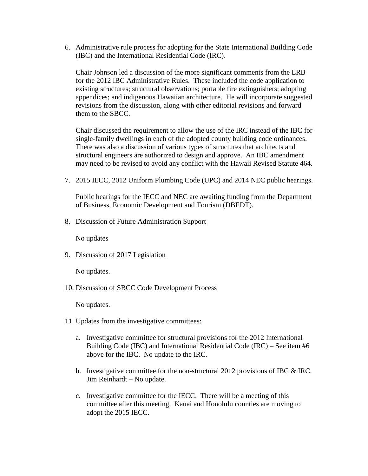6. Administrative rule process for adopting for the State International Building Code (IBC) and the International Residential Code (IRC).

Chair Johnson led a discussion of the more significant comments from the LRB for the 2012 IBC Administrative Rules. These included the code application to existing structures; structural observations; portable fire extinguishers; adopting appendices; and indigenous Hawaiian architecture. He will incorporate suggested revisions from the discussion, along with other editorial revisions and forward them to the SBCC.

Chair discussed the requirement to allow the use of the IRC instead of the IBC for single-family dwellings in each of the adopted county building code ordinances. There was also a discussion of various types of structures that architects and structural engineers are authorized to design and approve. An IBC amendment may need to be revised to avoid any conflict with the Hawaii Revised Statute 464.

7. 2015 IECC, 2012 Uniform Plumbing Code (UPC) and 2014 NEC public hearings.

Public hearings for the IECC and NEC are awaiting funding from the Department of Business, Economic Development and Tourism (DBEDT).

8. Discussion of Future Administration Support

No updates

9. Discussion of 2017 Legislation

No updates.

10. Discussion of SBCC Code Development Process

No updates.

- 11. Updates from the investigative committees:
	- a. Investigative committee for structural provisions for the 2012 International Building Code (IBC) and International Residential Code (IRC) – See item #6 above for the IBC. No update to the IRC.
	- b. Investigative committee for the non-structural 2012 provisions of IBC  $\&$  IRC. Jim Reinhardt – No update.
	- c. Investigative committee for the IECC. There will be a meeting of this committee after this meeting. Kauai and Honolulu counties are moving to adopt the 2015 IECC.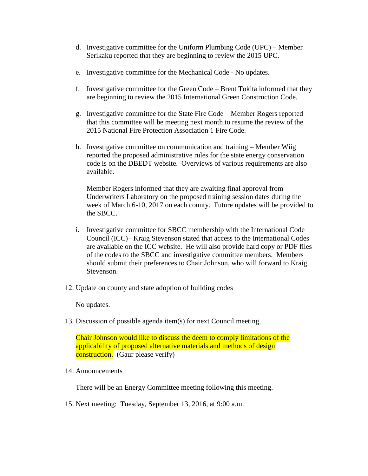- d. Investigative committee for the Uniform Plumbing Code (UPC) Member Serikaku reported that they are beginning to review the 2015 UPC.
- e. Investigative committee for the Mechanical Code No updates.
- f. Investigative committee for the Green Code Brent Tokita informed that they are beginning to review the 2015 International Green Construction Code.
- g. Investigative committee for the State Fire Code Member Rogers reported that this committee will be meeting next month to resume the review of the 2015 National Fire Protection Association 1 Fire Code.
- h. Investigative committee on communication and training Member Wiig reported the proposed administrative rules for the state energy conservation code is on the DBEDT website. Overviews of various requirements are also available.

Member Rogers informed that they are awaiting final approval from Underwriters Laboratory on the proposed training session dates during the week of March 6-10, 2017 on each county. Future updates will be provided to the SBCC.

- i. Investigative committee for SBCC membership with the International Code Council (ICC)– Kraig Stevenson stated that access to the International Codes are available on the ICC website. He will also provide hard copy or PDF files of the codes to the SBCC and investigative committee members. Members should submit their preferences to Chair Johnson, who will forward to Kraig Stevenson.
- 12. Update on county and state adoption of building codes

No updates.

13. Discussion of possible agenda item(s) for next Council meeting.

Chair Johnson would like to discuss the deem to comply limitations of the applicability of proposed alternative materials and methods of design construction. (Gaur please verify)

14. Announcements

There will be an Energy Committee meeting following this meeting.

15. Next meeting: Tuesday, September 13, 2016, at 9:00 a.m.